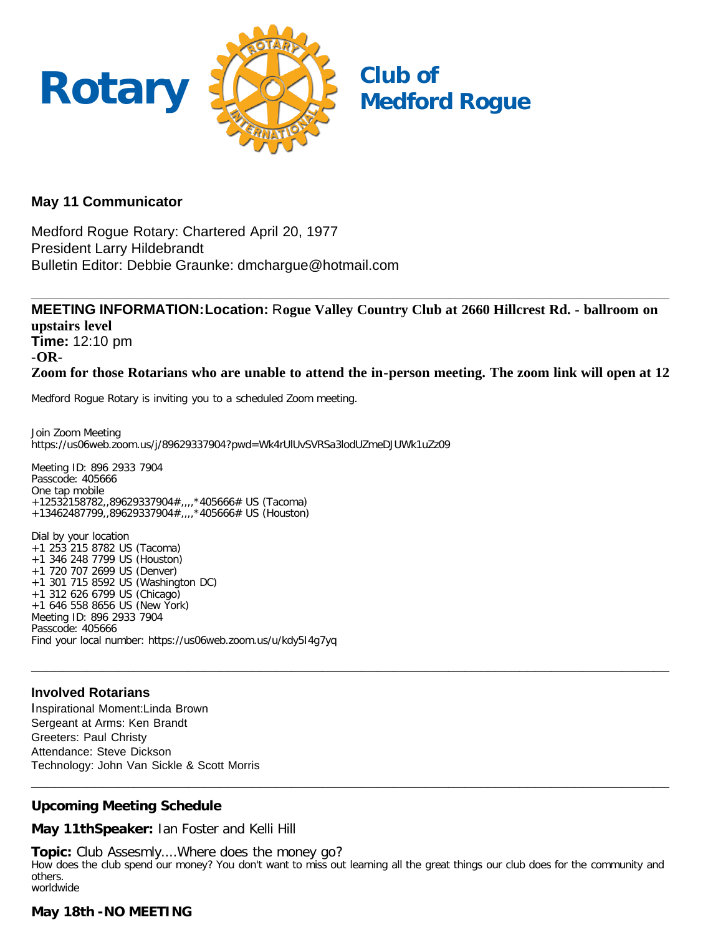

# **May 11 Communicator**

Medford Rogue Rotary: Chartered April 20, 1977 President Larry Hildebrandt Bulletin Editor: Debbie Graunke: dmchargue@hotmail.com

**MEETING INFORMATION:Location:** R**ogue Valley Country Club at 2660 Hillcrest Rd. - ballroom on upstairs level Time:** 12:10 pm **-OR-Zoom for those Rotarians who are unable to attend the in-person meeting. The zoom link will open at 12**

**\_\_\_\_\_\_\_\_\_\_\_\_\_\_\_\_\_\_\_\_\_\_\_\_\_\_\_\_\_\_\_\_\_\_\_\_\_\_\_\_\_\_\_\_\_\_\_\_\_\_\_\_\_\_\_\_\_\_\_\_\_\_\_\_\_\_\_\_\_\_\_\_\_\_\_\_\_\_\_\_\_**

Medford Rogue Rotary is inviting you to a scheduled Zoom meeting.

Join Zoom Meeting https://us06web.zoom.us/j/89629337904?pwd=Wk4rUlUvSVRSa3lodUZmeDJUWk1uZz09

Meeting ID: 896 2933 7904 Passcode: 405666 One tap mobile +12532158782,,89629337904#,,,,\*405666# US (Tacoma) +13462487799,,89629337904#,,,,\*405666# US (Houston)

Dial by your location +1 253 215 8782 US (Tacoma) +1 346 248 7799 US (Houston) +1 720 707 2699 US (Denver) +1 301 715 8592 US (Washington DC) +1 312 626 6799 US (Chicago) +1 646 558 8656 US (New York) Meeting ID: 896 2933 7904 Passcode: 405666 Find your local number: https://us06web.zoom.us/u/kdy5I4g7yq

# **Involved Rotarians**

Inspirational Moment:Linda Brown Sergeant at Arms: Ken Brandt Greeters: Paul Christy Attendance: Steve Dickson Technology: John Van Sickle & Scott Morris

# **Upcoming Meeting Schedule**

**May 11thSpeaker:** Ian Foster and Kelli Hill

**Topic:** Club Assesmly....Where does the money go? How does the club spend our money? You don't want to miss out learning all the great things our club does for the community and others. worldwide

**\_\_\_\_\_\_\_\_\_\_\_\_\_\_\_\_\_\_\_\_\_\_\_\_\_\_\_\_\_\_\_\_\_\_\_\_\_\_\_\_\_\_\_\_\_\_\_\_\_\_\_\_\_\_\_\_\_\_\_\_\_\_\_\_\_\_\_\_\_\_\_\_\_\_\_\_\_\_\_\_\_**

**\_\_\_\_\_\_\_\_\_\_\_\_\_\_\_\_\_\_\_\_\_\_\_\_\_\_\_\_\_\_\_\_\_\_\_\_\_\_\_\_\_\_\_\_\_\_\_\_\_\_\_\_\_\_\_\_\_\_\_\_\_\_\_\_\_\_\_\_\_\_\_\_\_\_\_\_\_\_\_\_\_**

# **May 18th -NO MEETING**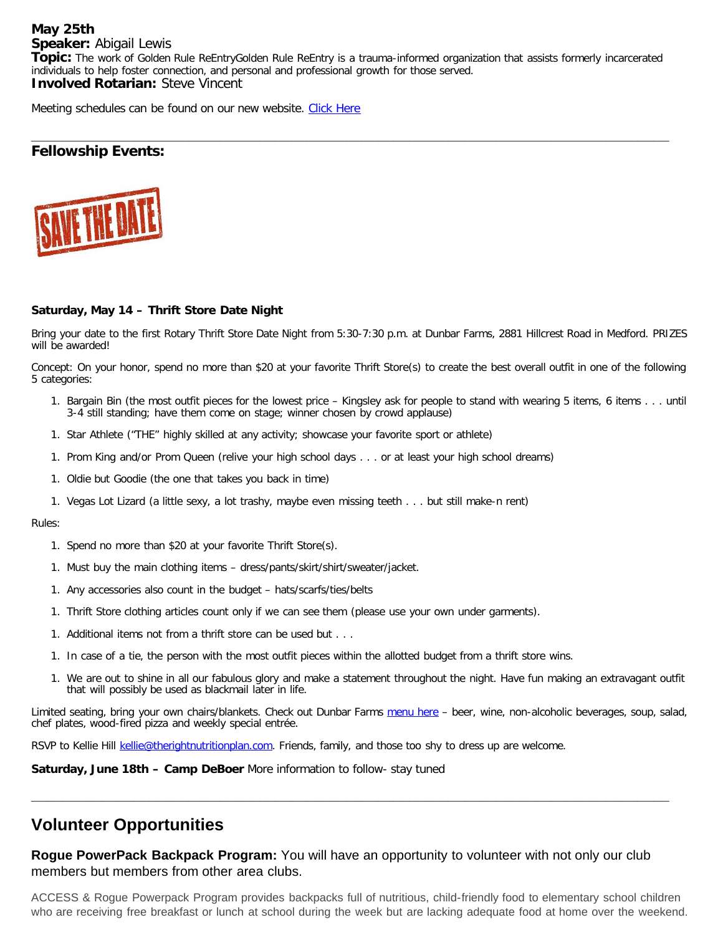#### **May 25th Speaker:** Abigail Lewis

**Topic:** The work of Golden Rule ReEntryGolden Rule ReEntry is a trauma-informed organization that assists formerly incarcerated individuals to help foster connection, and personal and professional growth for those served. **Involved Rotarian:** Steve Vincent

Meeting schedules can be found on our new website. [Click Here](https://medfordrogue.org/)

# **\_\_\_\_\_\_\_\_\_\_\_\_\_\_\_\_\_\_\_\_\_\_\_\_\_\_\_\_\_\_\_\_\_\_\_\_\_\_\_\_\_\_\_\_\_\_\_\_\_\_\_\_\_\_\_\_\_\_\_\_\_\_\_\_\_\_\_\_\_\_\_\_\_\_\_\_\_\_\_\_\_ Fellowship Events:**



# **Saturday, May 14 – Thrift Store Date Night**

Bring your date to the first Rotary Thrift Store Date Night from 5:30-7:30 p.m. at Dunbar Farms, 2881 Hillcrest Road in Medford. PRIZES will be awarded!

Concept: On your honor, spend no more than \$20 at your favorite Thrift Store(s) to create the best overall outfit in one of the following 5 categories:

- 1. Bargain Bin (the most outfit pieces for the lowest price Kingsley ask for people to stand with wearing 5 items, 6 items . . . until 3-4 still standing; have them come on stage; winner chosen by crowd applause)
- 1. Star Athlete ("THE" highly skilled at any activity; showcase your favorite sport or athlete)
- 1. Prom King and/or Prom Queen (relive your high school days . . . or at least your high school dreams)
- 1. Oldie but Goodie (the one that takes you back in time)
- 1. Vegas Lot Lizard (a little sexy, a lot trashy, maybe even missing teeth . . . but still make-n rent)

#### Rules:

- 1. Spend no more than \$20 at your favorite Thrift Store(s).
- 1. Must buy the main clothing items dress/pants/skirt/shirt/sweater/jacket.
- 1. Any accessories also count in the budget hats/scarfs/ties/belts
- 1. Thrift Store clothing articles count only if we can see them (please use your own under garments).
- 1. Additional items not from a thrift store can be used but . . .
- 1. In case of a tie, the person with the most outfit pieces within the allotted budget from a thrift store wins.
- 1. We are out to shine in all our fabulous glory and make a statement throughout the night. Have fun making an extravagant outfit that will possibly be used as blackmail later in life.

Limited seating, bring your own chairs/blankets. Check out Dunbar Farms [menu here](mailto:https://www.dunbarfarms.com/menu) - beer, wine, non-alcoholic beverages, soup, salad, chef plates, wood-fired pizza and weekly special entrée.

RSVP to Kellie Hill [kellie@therightnutritionplan.com.](mailto:kellie@therightnutritionplan.com) Friends, family, and those too shy to dress up are welcome.

**Saturday, June 18th – Camp DeBoer** More information to follow- stay tuned

# **Volunteer Opportunities**

**Rogue PowerPack Backpack Program:** You will have an opportunity to volunteer with not only our club members but members from other area clubs.

**\_\_\_\_\_\_\_\_\_\_\_\_\_\_\_\_\_\_\_\_\_\_\_\_\_\_\_\_\_\_\_\_\_\_\_\_\_\_\_\_\_\_\_\_\_\_\_\_\_\_\_\_\_\_\_\_\_\_\_\_\_\_\_\_\_\_\_\_\_\_\_\_\_\_\_\_\_\_\_\_\_**

ACCESS & Rogue Powerpack Program provides backpacks full of nutritious, child-friendly food to elementary school children who are receiving free breakfast or lunch at school during the week but are lacking adequate food at home over the weekend.